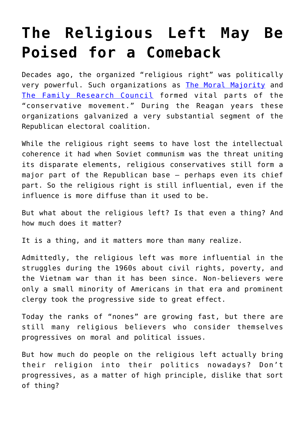## **[The Religious Left May Be](https://intellectualtakeout.org/2019/05/the-religious-left-may-be-poised-for-a-comeback/) [Poised for a Comeback](https://intellectualtakeout.org/2019/05/the-religious-left-may-be-poised-for-a-comeback/)**

Decades ago, the organized "religious right" was politically very powerful. Such organizations as [The Moral Majority](https://www.britannica.com/topic/Moral-Majority) and [The Family Research Council](https://www.frc.org/) formed vital parts of the "conservative movement." During the Reagan years these organizations galvanized a very substantial segment of the Republican electoral coalition.

While the religious right seems to have lost the intellectual coherence it had when Soviet communism was the threat uniting its disparate elements, religious conservatives still form a major part of the Republican base — perhaps even its chief part. So the religious right is still influential, even if the influence is more diffuse than it used to be.

But what about the religious left? Is that even a thing? And how much does it matter?

It is a thing, and it matters more than many realize.

Admittedly, the religious left was more influential in the struggles during the 1960s about civil rights, poverty, and the Vietnam war than it has been since. Non-believers were only a small minority of Americans in that era and prominent clergy took the progressive side to great effect.

Today the ranks of "nones" are growing fast, but there are still many religious believers who consider themselves progressives on moral and political issues.

But how much do people on the religious left actually bring their religion into their politics nowadays? Don't progressives, as a matter of high principle, dislike that sort of thing?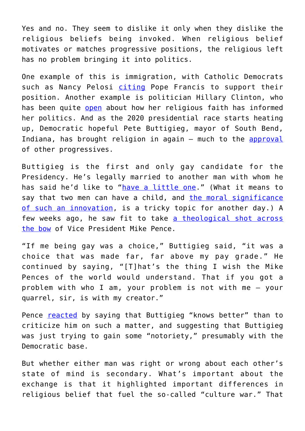Yes and no. They seem to dislike it only when they dislike the religious beliefs being invoked. When religious belief motivates or matches progressive positions, the religious left has no problem bringing it into politics.

One example of this is immigration, with Catholic Democrats such as Nancy Pelosi [citing](https://www.speaker.gov/newsroom/pelosi-statement-on-pope-francis-address-to-congress/) Pope Francis to support their position. Another example is politician Hillary Clinton, who has been quite [open](https://www.politifact.com/truth-o-meter/statements/2016/jun/24/donald-trump/what-do-we-know-about-hillary-clintons-religion-lo/) about how her religious faith has informed her politics. And as the 2020 presidential race starts heating up, Democratic hopeful Pete Buttigieg, mayor of South Bend, Indiana, has brought religion in again - much to the [approval](http://edition.pagesuite.com/popovers/dynamic_article_popover.aspx?artguid=6fcd70c7-9242-45d1-9fac-2faa529a2106&appid=1165&fbclid=IwAR13TWYz8DkSJfksK_IrDKOAKtJib22GPCdegr-8jO07f6En6BnE-7ZZmY4) of other progressives.

Buttigieg is the first and only gay candidate for the Presidency. He's legally married to another man with whom he has said he'd like to ["have a little one.](https://abcnews.go.com/Politics/2020-hopeful-pete-buttigieg-husband-planning-child/story?id=62421122&cid=social_twitter_abcnp)" (What it means to say that two men can have a child, and [the moral significance](https://www.youtube.com/watch?v=-CK_XCa7Llk) [of such an innovation,](https://www.youtube.com/watch?v=-CK_XCa7Llk) is a tricky topic for another day.) A few weeks ago, he saw fit to take [a theological shot across](https://www.cnn.com/2019/04/08/politics/pete-buttigieg-mike-pence/index.html) [the bow](https://www.cnn.com/2019/04/08/politics/pete-buttigieg-mike-pence/index.html) of Vice President Mike Pence.

"If me being gay was a choice," Buttigieg said, "it was a choice that was made far, far above my pay grade." He continued by saying, "[T]hat's the thing I wish the Mike Pences of the world would understand. That if you got a problem with who I am, your problem is not with me — your quarrel, sir, is with my creator."

Pence **[reacted](https://www.cnn.com/2019/04/10/politics/mike-pence-pete-buttigieg-know-better/index.html)** by saying that Buttigieg "knows better" than to criticize him on such a matter, and suggesting that Buttigieg was just trying to gain some "notoriety," presumably with the Democratic base.

But whether either man was right or wrong about each other's state of mind is secondary. What's important about the exchange is that it highlighted important differences in religious belief that fuel the so-called "culture war." That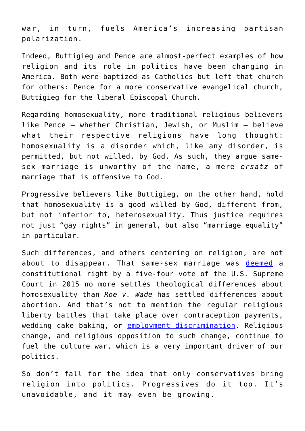war, in turn, fuels America's increasing partisan polarization.

Indeed, Buttigieg and Pence are almost-perfect examples of how religion and its role in politics have been changing in America. Both were baptized as Catholics but left that church for others: Pence for a more conservative evangelical church, Buttigieg for the liberal Episcopal Church.

Regarding homosexuality, more traditional religious believers like Pence — whether Christian, Jewish, or Muslim — believe what their respective religions have long thought: homosexuality is a disorder which, like any disorder, is permitted, but not willed, by God. As such, they argue samesex marriage is unworthy of the name, a mere *ersatz* of marriage that is offensive to God.

Progressive believers like Buttigieg, on the other hand, hold that homosexuality is a good willed by God, different from, but not inferior to, heterosexuality. Thus justice requires not just "gay rights" in general, but also "marriage equality" in particular.

Such differences, and others centering on religion, are not about to disappear. That same-sex marriage was [deemed](https://www.scotusblog.com/case-files/cases/obergefell-v-hodges/) a constitutional right by a five-four vote of the U.S. Supreme Court in 2015 no more settles theological differences about homosexuality than *Roe v. Wade* has settled differences about abortion. And that's not to mention the regular religious liberty battles that take place over contraception payments, wedding cake baking, or [employment discrimination.](https://www.cnn.com/2019/04/22/politics/supreme-court-lgbt-employee-discrimination/index.html) Religious change, and religious opposition to such change, continue to fuel the culture war, which is a very important driver of our politics.

So don't fall for the idea that only conservatives bring religion into politics. Progressives do it too. It's unavoidable, and it may even be growing.